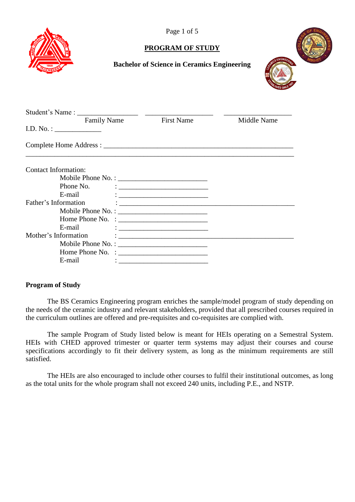

Page 1 of 5

### **PROGRAM OF STUDY**



### **Bachelor of Science in Ceramics Engineering**

| <b>Family Name</b>             | <b>First Name</b>                                                                                                                                                                                                                        | Middle Name |
|--------------------------------|------------------------------------------------------------------------------------------------------------------------------------------------------------------------------------------------------------------------------------------|-------------|
|                                |                                                                                                                                                                                                                                          |             |
|                                |                                                                                                                                                                                                                                          |             |
|                                |                                                                                                                                                                                                                                          |             |
| Contact Information:           |                                                                                                                                                                                                                                          |             |
|                                |                                                                                                                                                                                                                                          |             |
| Phone No.                      | $\mathcal{L} = \frac{1}{2}$ . The contract of the contract of the contract of the contract of the contract of the contract of the contract of the contract of the contract of the contract of the contract of the contract of the contra |             |
| E-mail                         |                                                                                                                                                                                                                                          |             |
| Father's Information           |                                                                                                                                                                                                                                          |             |
|                                |                                                                                                                                                                                                                                          |             |
| Home Phone No. : $\frac{1}{2}$ |                                                                                                                                                                                                                                          |             |
| E-mail                         | $\frac{1}{2}$ . The contract of the contract of the contract of the contract of the contract of the contract of the contract of the contract of the contract of the contract of the contract of the contract of the contract of t        |             |
| Mother's Information           | $\mathcal{L}=\frac{1}{2}$ . The contract of the contract of $\mathcal{L}=\frac{1}{2}$                                                                                                                                                    |             |
|                                |                                                                                                                                                                                                                                          |             |
|                                |                                                                                                                                                                                                                                          |             |
| E-mail                         |                                                                                                                                                                                                                                          |             |
|                                | <u> 1980 - Jan James James, margin de la propinsió de la propinsió de la propinsió de la propinsió de la propinsi</u>                                                                                                                    |             |

#### **Program of Study**

The BS Ceramics Engineering program enriches the sample/model program of study depending on the needs of the ceramic industry and relevant stakeholders, provided that all prescribed courses required in the curriculum outlines are offered and pre-requisites and co-requisites are complied with.

The sample Program of Study listed below is meant for HEIs operating on a Semestral System. HEIs with CHED approved trimester or quarter term systems may adjust their courses and course specifications accordingly to fit their delivery system, as long as the minimum requirements are still satisfied.

The HEIs are also encouraged to include other courses to fulfil their institutional outcomes, as long as the total units for the whole program shall not exceed 240 units, including P.E., and NSTP.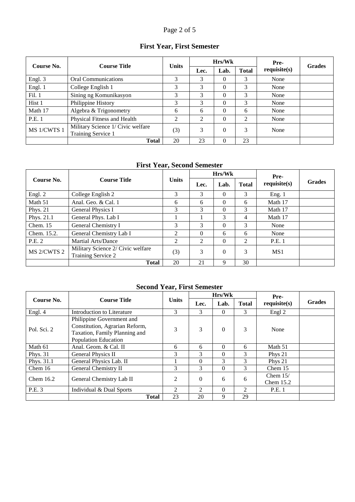# Page 2 of 5

# **First Year, First Semester**

| Course No.  | <b>Course Title</b>                                     | <b>Units</b> |      | Hrs/Wk   |              | Pre-<br>requires(s) | <b>Grades</b> |
|-------------|---------------------------------------------------------|--------------|------|----------|--------------|---------------------|---------------|
|             |                                                         |              | Lec. | Lab.     | <b>Total</b> |                     |               |
| Engl. 3     | <b>Oral Communications</b>                              | 3            | 3    | $\Omega$ | 3            | None                |               |
| Engl. 1     | College English 1                                       | 3            | 3    | 0        | 3            | None                |               |
| Fil. 1      | Sining ng Komunikasyon                                  | 3            | 3    | $\Omega$ | 3            | None                |               |
| Hist 1      | Philippine History                                      | 3            | 3    | $\Omega$ | 3            | None                |               |
| Math 17     | Algebra & Trigonometry                                  | 6            | 6    | $\Omega$ | 6            | None                |               |
| P.E. 1      | Physical Fitness and Health                             | 2            | 2    | $\Omega$ | 2            | None                |               |
| MS 1/CWTS 1 | Military Science 1/ Civic welfare<br>Training Service 1 | (3)          | 3    | $\theta$ | 3            | None                |               |
|             | <b>Total</b>                                            | 20           | 23   | $\Omega$ | 23           |                     |               |

### **First Year, Second Semester**

|             |                                                         |              | Hrs/Wk   |          |              | Pre-        |               |
|-------------|---------------------------------------------------------|--------------|----------|----------|--------------|-------------|---------------|
| Course No.  | <b>Course Title</b>                                     | <b>Units</b> | Lec.     | Lab.     | <b>Total</b> | requires(s) | <b>Grades</b> |
| Engl. 2     | College English 2                                       | 3            | 3        | $\Omega$ | 3            | Eng. 1      |               |
| Math 51     | Anal. Geo. & Cal. 1                                     | 6            | 6        | $\Omega$ | 6            | Math 17     |               |
| Phys. $21$  | General Physics I                                       | 3            | 3        | $\theta$ | 3            | Math 17     |               |
| Phys. 21.1  | General Phys. Lab I                                     |              |          | 3        | 4            | Math 17     |               |
| Chem. $15$  | General Chemistry I                                     | 3            | 3        | $\theta$ | 3            | None        |               |
| Chem. 15.2. | General Chemistry Lab I                                 | 2            | $\Omega$ | 6        | 6            | None        |               |
| P.E. 2      | Martial Arts/Dance                                      | 2            | 2        | $\Omega$ | 2            | P.E. 1      |               |
| MS 2/CWTS 2 | Military Science 2/ Civic welfare<br>Training Service 2 | (3)          | 3        | $\theta$ | 3            | MS1         |               |
|             | <b>Total</b>                                            | 20           | 21       | 9        | 30           |             |               |

# **Second Year, First Semester**

|             |                                |                |                             | Hrs/Wk   |                | Pre-        |               |
|-------------|--------------------------------|----------------|-----------------------------|----------|----------------|-------------|---------------|
| Course No.  | <b>Course Title</b>            | <b>Units</b>   | Lec.                        | Lab.     | <b>Total</b>   | requires(s) | <b>Grades</b> |
| Engl. 4     | Introduction to Literature     | 3              | 3                           | $\Omega$ | 3              | Engl 2      |               |
|             | Philippine Government and      |                |                             |          |                |             |               |
| Pol. Sci. 2 | Constitution, Agrarian Reform, |                | 3                           | $\theta$ | 3              | None        |               |
|             | Taxation, Family Planning and  | 3              |                             |          |                |             |               |
|             | <b>Population Education</b>    |                |                             |          |                |             |               |
| Math 61     | Anal. Geom. & Cal. II          | 6              | 6                           | $\theta$ | 6              | Math 51     |               |
| Phys. $31$  | General Physics II             | 3              | 3                           | $\Omega$ | 3              | Phys 21     |               |
| Phys. 31.1  | General Physics Lab. II        |                | $\Omega$                    | 3        | 3              | Phys 21     |               |
| Chem $16$   | General Chemistry II           | 3              | 3                           | $\Omega$ | 3              | Chem 15     |               |
| Chem $16.2$ |                                | 2              | $\Omega$                    | 6        |                | Chem $15/$  |               |
|             | General Chemistry Lab II       |                |                             |          | 6              | Chem $15.2$ |               |
| P.E. 3      | Individual & Dual Sports       | $\mathfrak{D}$ | $\mathcal{D}_{\mathcal{L}}$ | $\Omega$ | $\mathfrak{D}$ | P.E. 1      |               |
|             | <b>Total</b>                   | 23             | 20                          | 9        | 29             |             |               |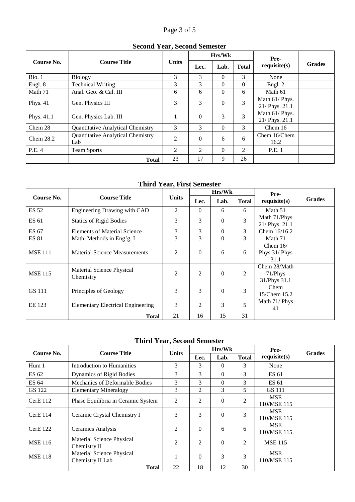# Page 3 of 5

### **Second Year, Second Semester**

|             | <b>Course Title</b>                             |              |          | Hrs/Wk   |                | Pre-                             |               |
|-------------|-------------------------------------------------|--------------|----------|----------|----------------|----------------------------------|---------------|
| Course No.  |                                                 | <b>Units</b> | Lec.     | Lab.     | <b>Total</b>   | requires(s)                      | <b>Grades</b> |
| Bio. 1      | <b>Biology</b>                                  | 3            | 3        | $\Omega$ | 3              | None                             |               |
| Engl. 8     | <b>Technical Writing</b>                        | 3            | 3        | $\Omega$ | $\Omega$       | Engl. 2                          |               |
| Math 71     | Anal. Geo. & Cal. III                           | 6            | 6        | $\theta$ | 6              | Math 61                          |               |
| Phys. $41$  | Gen. Physics III                                | 3            | 3        | $\theta$ | 3              | Math 61/ Phys.<br>21/ Phys. 21.1 |               |
| Phys. 41.1  | Gen. Physics Lab. III                           |              | $\Omega$ | 3        | 3              | Math 61/ Phys.<br>21/ Phys. 21.1 |               |
| Chem 28     | <b>Quantitative Analytical Chemistry</b>        | 3            | 3        | $\theta$ | 3              | Chem 16                          |               |
| Chem $28.2$ | <b>Quantitative Analytical Chemistry</b><br>Lab | 2            | $\Omega$ | 6        | 6              | Chem 16/Chem<br>16.2             |               |
| P.E. 4      | <b>Team Sports</b>                              | 2            | 2        | $\theta$ | $\mathfrak{D}$ | P.E. 1                           |               |
|             | <b>Total</b>                                    | 23           | 17       | 9        | 26             |                                  |               |

# **Third Year, First Semester**

|                |                                          |              |                | Hrs/Wk   |       | Pre-                                    |               |
|----------------|------------------------------------------|--------------|----------------|----------|-------|-----------------------------------------|---------------|
| Course No.     | <b>Course Title</b>                      | <b>Units</b> | Lec.           | Lab.     | Total | requires(s)                             | <b>Grades</b> |
| <b>ES 52</b>   | Engineering Drawing with CAD             | 2            | $\Omega$       | 6        | 6     | Math 51                                 |               |
| ES 61          | <b>Statics of Rigid Bodies</b>           | 3            | 3              | $\theta$ | 3     | Math 71/Phys<br>21/ Phys. 21.1          |               |
| ES 67          | <b>Elements of Material Science</b>      | 3            | 3              | $\Omega$ | 3     | Chem 16/16.2                            |               |
| <b>ES 81</b>   | Math. Methods in Eng'g. I                | 3            | 3              | $\Omega$ | 3     | Math 71                                 |               |
| <b>MSE 111</b> | <b>Material Science Measurements</b>     | 2            | $\overline{0}$ | 6        | 6     | Chem $16/$<br>Phys 31/ Phys<br>31.1     |               |
| <b>MSE 115</b> | Material Science Physical<br>Chemistry   | 2            | 2              | $\theta$ | 2     | Chem 28/Math<br>71/Phys<br>31/Phys 31.1 |               |
| GS 111         | Principles of Geology                    | 3            | 3              | $\Omega$ | 3     | Chem<br>15/Chem 15.2                    |               |
| EE 123         | <b>Elementary Electrical Engineering</b> | 3            | 2              | 3        | 5     | Math 71/ Phys<br>41                     |               |
|                | <b>Total</b>                             | 21           | 16             | 15       | 31    |                                         |               |

# **Third Year, Second Semester**

|                | <b>Course Title</b>                           | <b>Units</b>   |                | Hrs/Wk   |                | Pre-                      |               |
|----------------|-----------------------------------------------|----------------|----------------|----------|----------------|---------------------------|---------------|
| Course No.     |                                               |                | Lec.           | Lab.     | <b>Total</b>   | requires(s)               | <b>Grades</b> |
| Hum 1          | Introduction to Humanities                    | 3              | 3              | $\Omega$ | 3              | None                      |               |
| ES 62          | Dynamics of Rigid Bodies                      | 3              | 3              | $\Omega$ | 3              | ES 61                     |               |
| ES 64          | Mechanics of Deformable Bodies                | 3              | 3              | $\Omega$ | 3              | ES 61                     |               |
| GS 122         | <b>Elementary Mineralogy</b>                  | 3              | 2              | 3        | 5              | GS 111                    |               |
| CerE 112       | Phase Equilibria in Ceramic System            | 2              | 2              | $\Omega$ | 2              | <b>MSE</b><br>110/MSE 115 |               |
| $CerE$ 114     | Ceramic Crystal Chemistry I                   | 3              | 3              | $\Omega$ | 3              | <b>MSE</b><br>110/MSE 115 |               |
| CerE 122       | Ceramics Analysis                             | 2              | $\Omega$       | 6        | 6              | <b>MSE</b><br>110/MSE 115 |               |
| <b>MSE</b> 116 | Material Science Physical<br>Chemistry II     | $\overline{2}$ | $\overline{2}$ | $\Omega$ | $\overline{c}$ | <b>MSE 115</b>            |               |
| <b>MSE</b> 118 | Material Science Physical<br>Chemistry II Lab |                | $\theta$       | 3        | 3              | <b>MSE</b><br>110/MSE 115 |               |
|                | <b>Total</b>                                  | 22             | 18             | 12       | 30             |                           |               |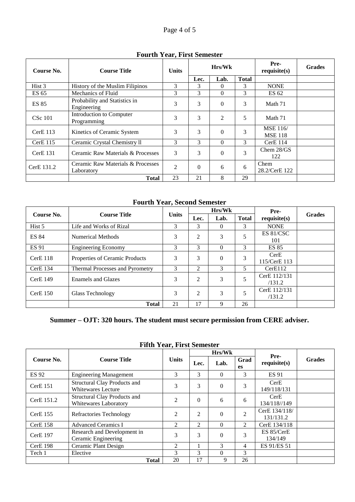| Course No.        | <b>Course Title</b>                             | <b>Units</b> | Hrs/Wk   |                | Pre-<br>requires(s) | <b>Grades</b>                     |  |
|-------------------|-------------------------------------------------|--------------|----------|----------------|---------------------|-----------------------------------|--|
|                   |                                                 |              | Lec.     | Lab.           | <b>Total</b>        |                                   |  |
| Hist <sub>3</sub> | History of the Muslim Filipinos                 | 3            | 3        | 0              | 3                   | <b>NONE</b>                       |  |
| ES 65             | Mechanics of Fluid                              | 3            | 3        | $\Omega$       | 3                   | ES 62                             |  |
| <b>ES 85</b>      | Probability and Statistics in<br>Engineering    | 3            | 3        | $\theta$       | 3                   | Math 71                           |  |
| <b>CSc</b> 101    | Introduction to Computer<br>Programming         | 3            | 3        | $\overline{2}$ | 5                   | Math 71                           |  |
| $CerE$ 113        | Kinetics of Ceramic System                      | 3            | 3        | $\theta$       | 3                   | <b>MSE</b> 116/<br><b>MSE 118</b> |  |
| $CerE$ 115        | Ceramic Crystal Chemistry II                    | 3            | 3        | $\Omega$       | 3                   | CerE 114                          |  |
| CerE 131          | Ceramic Raw Materials & Processes               | 3            | 3        | $\theta$       | 3                   | Chem $28/GS$<br>122               |  |
| CerE 131.2        | Ceramic Raw Materials & Processes<br>Laboratory | 2            | $\Omega$ | 6              | 6                   | Chem<br>28.2/CerE 122             |  |
|                   | <b>Total</b>                                    | 23           | 21       | 8              | 29                  |                                   |  |

#### **Fourth Year, First Semester**

**Fourth Year, Second Semester**

|              |                                 |              | Hrs/Wk |          |              | Pre-                   |               |
|--------------|---------------------------------|--------------|--------|----------|--------------|------------------------|---------------|
| Course No.   | <b>Course Title</b>             | <b>Units</b> | Lec.   | Lab.     | <b>Total</b> | requires(s)            | <b>Grades</b> |
| Hist 5       | Life and Works of Rizal         | 3            | 3      | $\Omega$ | 3            | <b>NONE</b>            |               |
| <b>ES 84</b> | Numerical Methods               | 3            | 2      | 3        |              | ES 81/CSC<br>101       |               |
| <b>ES 91</b> | <b>Engineering Economy</b>      | 3            | 3      | $\Omega$ | 3            | <b>ES 85</b>           |               |
| $CerE$ 118   | Properties of Ceramic Products  | 3            | 3      | $\Omega$ | 3            | CerE<br>115/CerE 113   |               |
| $CerE$ 134   | Thermal Processes and Pyrometry | 3            | 2      | 3        | 5.           | CerE112                |               |
| $CerE$ 149   | Enamels and Glazes              | 3            | 2      | 3        |              | CerE 112/131<br>/131.2 |               |
| CerE 150     | Glass Technology                | 3            | 2      | 3        |              | CerE 112/131<br>/131.2 |               |
|              | <b>Total</b>                    | 21           | 17     | 9        | 26           |                        |               |

# **Summer – OJT: 320 hours. The student must secure permission from CERE adviser.**

|                 | <b>Course Title</b>                                                 |                |          | Hrs/Wk   |                | Pre-                       |               |
|-----------------|---------------------------------------------------------------------|----------------|----------|----------|----------------|----------------------------|---------------|
| Course No.      |                                                                     | <b>Units</b>   | Lec.     | Lab.     | Grad<br>es     | requires(s)                | <b>Grades</b> |
| <b>ES 92</b>    | <b>Engineering Management</b>                                       | 3              | 3        | $\Omega$ | 3              | <b>ES 91</b>               |               |
| $CerE$ 151      | Structural Clay Products and<br><b>Whitewares Lecture</b>           | 3              | 3        | $\theta$ | 3              | CerE<br>149/118/131        |               |
| CerE 151.2      | <b>Structural Clay Products and</b><br><b>Whitewares Laboratory</b> | 2              | $\Omega$ | 6        | 6              | CerE<br>134/118//149       |               |
| <b>CerE</b> 155 | <b>Refractories Technology</b>                                      | $\overline{2}$ | 2        | $\theta$ | $\overline{c}$ | CerE 134/118/<br>131/131.2 |               |
| $CerE$ 158      | <b>Advanced Ceramics I</b>                                          | 2              | 2        | $\theta$ | $\mathcal{L}$  | CerE 134/118               |               |
| <b>CerE</b> 197 | Research and Development in<br>Ceramic Engineering                  | 3              | 3        | $\Omega$ | 3              | ES 85/CerE<br>134/149      |               |
| CerE 198        | Ceramic Plant Design                                                | $\overline{2}$ |          | 3        | 4              | ES 91/ES 51                |               |
| Tech 1          | Elective                                                            | $\mathcal{R}$  | 3        | $\theta$ | 3              |                            |               |
|                 | <b>Total</b>                                                        | 20             | 17       | 9        | 26             |                            |               |